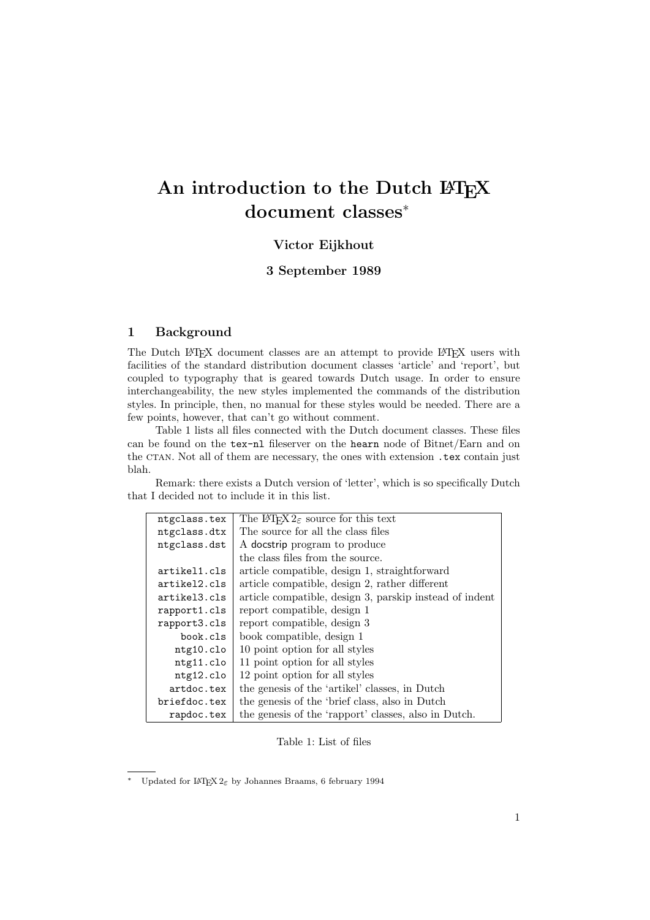# An introduction to the Dutch LATEX document classes<sup>∗</sup>

# Victor Eijkhout

## 3 September 1989

## 1 Background

The Dutch LAT<sub>EX</sub> document classes are an attempt to provide LAT<sub>EX</sub> users with facilities of the standard distribution document classes 'article' and 'report', but coupled to typography that is geared towards Dutch usage. In order to ensure interchangeability, the new styles implemented the commands of the distribution styles. In principle, then, no manual for these styles would be needed. There are a few points, however, that can't go without comment.

Table 1 lists all files connected with the Dutch document classes. These files can be found on the tex-nl fileserver on the hearn node of Bitnet/Earn and on the CTAN. Not all of them are necessary, the ones with extension .tex contain just blah.

Remark: there exists a Dutch version of 'letter', which is so specifically Dutch that I decided not to include it in this list.

| ntgclass.tex       | The L <sup>A</sup> T <sub>F</sub> X $2_{\epsilon}$ source for this text |
|--------------------|-------------------------------------------------------------------------|
| ntgclass.dtx       | The source for all the class files                                      |
| ntgclass.dst       | A docstrip program to produce                                           |
|                    | the class files from the source.                                        |
| artikel1.cls       | article compatible, design 1, straightforward                           |
| $artikel2$ . $cls$ | article compatible, design 2, rather different                          |
| artikel3.cls       | article compatible, design 3, parskip instead of indent                 |
| rapport1.cls       | report compatible, design 1                                             |
| rapport3.cls       | report compatible, design 3                                             |
| book.cls           | book compatible, design 1                                               |
| ntg10.c10          | 10 point option for all styles                                          |
| ntg11.clo          | 11 point option for all styles                                          |
| ntg12.clo          | 12 point option for all styles                                          |
| artdoc.tex         | the genesis of the 'artikel' classes, in Dutch                          |
| briefdoc.tex       | the genesis of the 'brief class, also in Dutch                          |
| rapdoc.tex         | the genesis of the 'rapport' classes, also in Dutch.                    |

Table 1: List of files

Updated for L<sup>AT</sup>EX 2ε by Johannes Braams, 6 february 1994